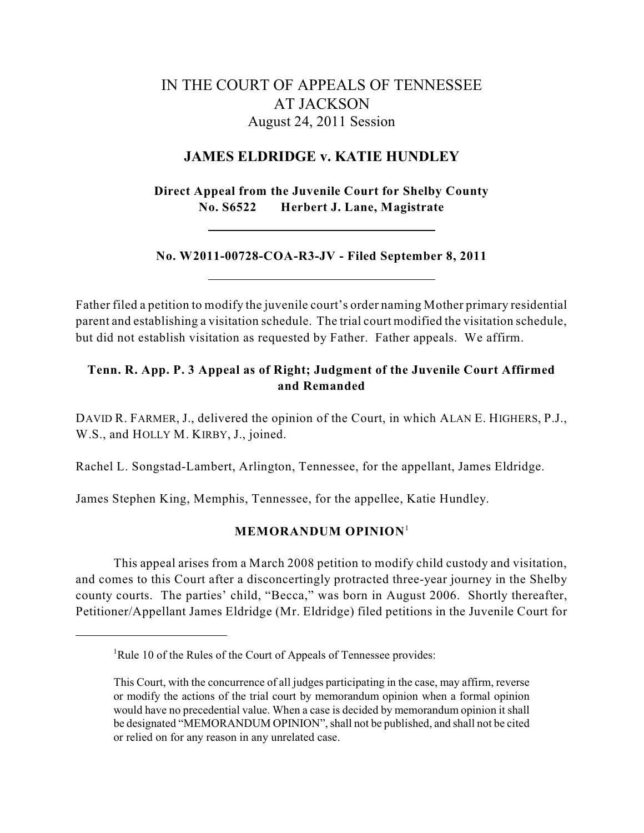# IN THE COURT OF APPEALS OF TENNESSEE AT JACKSON August 24, 2011 Session

## **JAMES ELDRIDGE v. KATIE HUNDLEY**

**Direct Appeal from the Juvenile Court for Shelby County No. S6522 Herbert J. Lane, Magistrate**

**No. W2011-00728-COA-R3-JV - Filed September 8, 2011**

Father filed a petition to modify the juvenile court's order naming Mother primary residential parent and establishing a visitation schedule. The trial court modified the visitation schedule, but did not establish visitation as requested by Father. Father appeals. We affirm.

## **Tenn. R. App. P. 3 Appeal as of Right; Judgment of the Juvenile Court Affirmed and Remanded**

DAVID R. FARMER, J., delivered the opinion of the Court, in which ALAN E. HIGHERS, P.J., W.S., and HOLLY M. KIRBY, J., joined.

Rachel L. Songstad-Lambert, Arlington, Tennessee, for the appellant, James Eldridge.

James Stephen King, Memphis, Tennessee, for the appellee, Katie Hundley.

### **MEMORANDUM OPINION** 1

This appeal arises from a March 2008 petition to modify child custody and visitation, and comes to this Court after a disconcertingly protracted three-year journey in the Shelby county courts. The parties' child, "Becca," was born in August 2006. Shortly thereafter, Petitioner/Appellant James Eldridge (Mr. Eldridge) filed petitions in the Juvenile Court for

<sup>&</sup>lt;sup>1</sup>Rule 10 of the Rules of the Court of Appeals of Tennessee provides:

This Court, with the concurrence of all judges participating in the case, may affirm, reverse or modify the actions of the trial court by memorandum opinion when a formal opinion would have no precedential value. When a case is decided by memorandum opinion it shall be designated "MEMORANDUM OPINION", shall not be published, and shall not be cited or relied on for any reason in any unrelated case.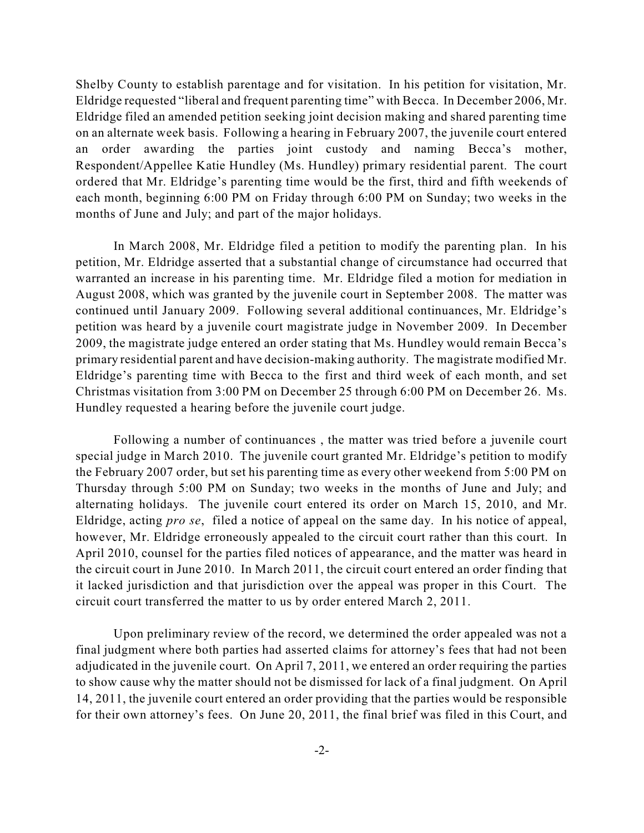Shelby County to establish parentage and for visitation. In his petition for visitation, Mr. Eldridge requested "liberal and frequent parenting time" with Becca. In December 2006, Mr. Eldridge filed an amended petition seeking joint decision making and shared parenting time on an alternate week basis. Following a hearing in February 2007, the juvenile court entered an order awarding the parties joint custody and naming Becca's mother, Respondent/Appellee Katie Hundley (Ms. Hundley) primary residential parent. The court ordered that Mr. Eldridge's parenting time would be the first, third and fifth weekends of each month, beginning 6:00 PM on Friday through 6:00 PM on Sunday; two weeks in the months of June and July; and part of the major holidays.

In March 2008, Mr. Eldridge filed a petition to modify the parenting plan. In his petition, Mr. Eldridge asserted that a substantial change of circumstance had occurred that warranted an increase in his parenting time. Mr. Eldridge filed a motion for mediation in August 2008, which was granted by the juvenile court in September 2008. The matter was continued until January 2009. Following several additional continuances, Mr. Eldridge's petition was heard by a juvenile court magistrate judge in November 2009. In December 2009, the magistrate judge entered an order stating that Ms. Hundley would remain Becca's primary residential parent and have decision-making authority. The magistrate modified Mr. Eldridge's parenting time with Becca to the first and third week of each month, and set Christmas visitation from 3:00 PM on December 25 through 6:00 PM on December 26. Ms. Hundley requested a hearing before the juvenile court judge.

Following a number of continuances , the matter was tried before a juvenile court special judge in March 2010. The juvenile court granted Mr. Eldridge's petition to modify the February 2007 order, but set his parenting time as every other weekend from 5:00 PM on Thursday through 5:00 PM on Sunday; two weeks in the months of June and July; and alternating holidays. The juvenile court entered its order on March 15, 2010, and Mr. Eldridge, acting *pro se*, filed a notice of appeal on the same day. In his notice of appeal, however, Mr. Eldridge erroneously appealed to the circuit court rather than this court. In April 2010, counsel for the parties filed notices of appearance, and the matter was heard in the circuit court in June 2010. In March 2011, the circuit court entered an order finding that it lacked jurisdiction and that jurisdiction over the appeal was proper in this Court. The circuit court transferred the matter to us by order entered March 2, 2011.

Upon preliminary review of the record, we determined the order appealed was not a final judgment where both parties had asserted claims for attorney's fees that had not been adjudicated in the juvenile court. On April 7, 2011, we entered an order requiring the parties to show cause why the matter should not be dismissed for lack of a final judgment. On April 14, 2011, the juvenile court entered an order providing that the parties would be responsible for their own attorney's fees. On June 20, 2011, the final brief was filed in this Court, and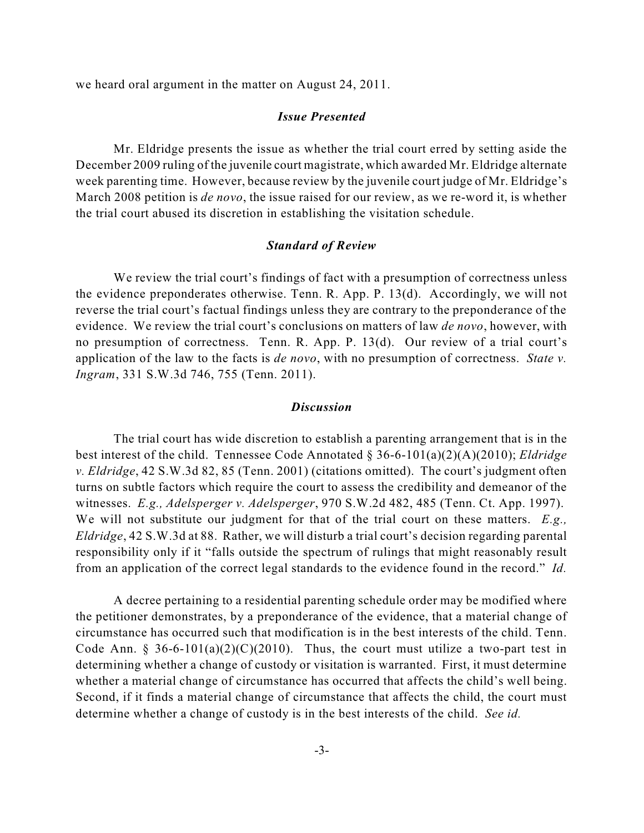we heard oral argument in the matter on August 24, 2011.

### *Issue Presented*

Mr. Eldridge presents the issue as whether the trial court erred by setting aside the December 2009 ruling of the juvenile court magistrate, which awarded Mr. Eldridge alternate week parenting time. However, because review by the juvenile court judge of Mr. Eldridge's March 2008 petition is *de novo*, the issue raised for our review, as we re-word it, is whether the trial court abused its discretion in establishing the visitation schedule.

#### *Standard of Review*

We review the trial court's findings of fact with a presumption of correctness unless the evidence preponderates otherwise. Tenn. R. App. P. 13(d). Accordingly, we will not reverse the trial court's factual findings unless they are contrary to the preponderance of the evidence. We review the trial court's conclusions on matters of law *de novo*, however, with no presumption of correctness. Tenn. R. App. P. 13(d). Our review of a trial court's application of the law to the facts is *de novo*, with no presumption of correctness. *State v. Ingram*, 331 S.W.3d 746, 755 (Tenn. 2011).

### *Discussion*

The trial court has wide discretion to establish a parenting arrangement that is in the best interest of the child. Tennessee Code Annotated § 36-6-101(a)(2)(A)(2010); *Eldridge v. Eldridge*, 42 S.W.3d 82, 85 (Tenn. 2001) (citations omitted). The court's judgment often turns on subtle factors which require the court to assess the credibility and demeanor of the witnesses. *E.g., Adelsperger v. Adelsperger*, 970 S.W.2d 482, 485 (Tenn. Ct. App. 1997). We will not substitute our judgment for that of the trial court on these matters. *E.g., Eldridge*, 42 S.W.3d at 88. Rather, we will disturb a trial court's decision regarding parental responsibility only if it "falls outside the spectrum of rulings that might reasonably result from an application of the correct legal standards to the evidence found in the record." *Id.*

A decree pertaining to a residential parenting schedule order may be modified where the petitioner demonstrates, by a preponderance of the evidence, that a material change of circumstance has occurred such that modification is in the best interests of the child. Tenn. Code Ann. § 36-6-101(a)(2)(C)(2010). Thus, the court must utilize a two-part test in determining whether a change of custody or visitation is warranted. First, it must determine whether a material change of circumstance has occurred that affects the child's well being. Second, if it finds a material change of circumstance that affects the child, the court must determine whether a change of custody is in the best interests of the child. *See id.*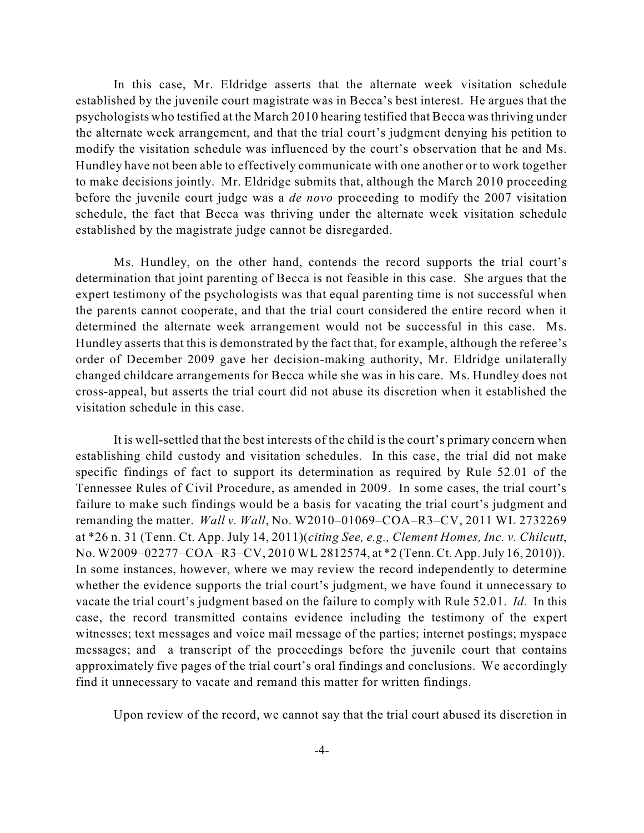In this case, Mr. Eldridge asserts that the alternate week visitation schedule established by the juvenile court magistrate was in Becca's best interest. He argues that the psychologists who testified at the March 2010 hearing testified that Becca wasthriving under the alternate week arrangement, and that the trial court's judgment denying his petition to modify the visitation schedule was influenced by the court's observation that he and Ms. Hundley have not been able to effectively communicate with one another or to work together to make decisions jointly. Mr. Eldridge submits that, although the March 2010 proceeding before the juvenile court judge was a *de novo* proceeding to modify the 2007 visitation schedule, the fact that Becca was thriving under the alternate week visitation schedule established by the magistrate judge cannot be disregarded.

Ms. Hundley, on the other hand, contends the record supports the trial court's determination that joint parenting of Becca is not feasible in this case. She argues that the expert testimony of the psychologists was that equal parenting time is not successful when the parents cannot cooperate, and that the trial court considered the entire record when it determined the alternate week arrangement would not be successful in this case. Ms. Hundley asserts that this is demonstrated by the fact that, for example, although the referee's order of December 2009 gave her decision-making authority, Mr. Eldridge unilaterally changed childcare arrangements for Becca while she was in his care. Ms. Hundley does not cross-appeal, but asserts the trial court did not abuse its discretion when it established the visitation schedule in this case.

It is well-settled that the best interests of the child is the court's primary concern when establishing child custody and visitation schedules. In this case, the trial did not make specific findings of fact to support its determination as required by Rule 52.01 of the Tennessee Rules of Civil Procedure, as amended in 2009. In some cases, the trial court's failure to make such findings would be a basis for vacating the trial court's judgment and remanding the matter. *Wall v. Wall*, No. W2010–01069–COA–R3–CV, 2011 WL 2732269 at \*26 n. 31 (Tenn. Ct. App. July 14, 2011)(*citing See, e.g., Clement Homes, Inc. v. Chilcutt*, No. W2009–02277–COA–R3–CV, 2010 WL 2812574, at \*2 (Tenn. Ct. App.July 16, 2010)). In some instances, however, where we may review the record independently to determine whether the evidence supports the trial court's judgment, we have found it unnecessary to vacate the trial court's judgment based on the failure to comply with Rule 52.01. *Id.* In this case, the record transmitted contains evidence including the testimony of the expert witnesses; text messages and voice mail message of the parties; internet postings; myspace messages; and a transcript of the proceedings before the juvenile court that contains approximately five pages of the trial court's oral findings and conclusions. We accordingly find it unnecessary to vacate and remand this matter for written findings.

Upon review of the record, we cannot say that the trial court abused its discretion in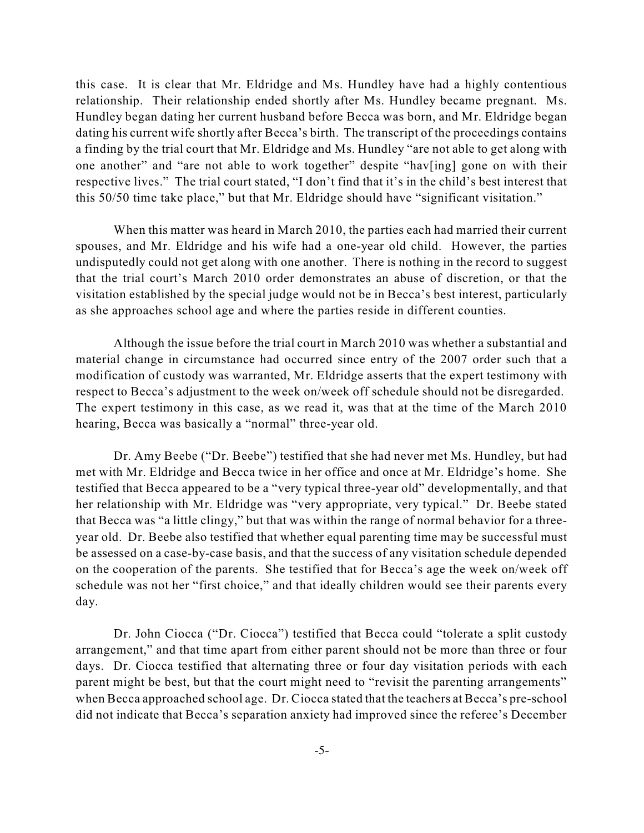this case. It is clear that Mr. Eldridge and Ms. Hundley have had a highly contentious relationship. Their relationship ended shortly after Ms. Hundley became pregnant. Ms. Hundley began dating her current husband before Becca was born, and Mr. Eldridge began dating his current wife shortly after Becca's birth. The transcript of the proceedings contains a finding by the trial court that Mr. Eldridge and Ms. Hundley "are not able to get along with one another" and "are not able to work together" despite "hav[ing] gone on with their respective lives." The trial court stated, "I don't find that it's in the child's best interest that this 50/50 time take place," but that Mr. Eldridge should have "significant visitation."

When this matter was heard in March 2010, the parties each had married their current spouses, and Mr. Eldridge and his wife had a one-year old child. However, the parties undisputedly could not get along with one another. There is nothing in the record to suggest that the trial court's March 2010 order demonstrates an abuse of discretion, or that the visitation established by the special judge would not be in Becca's best interest, particularly as she approaches school age and where the parties reside in different counties.

Although the issue before the trial court in March 2010 was whether a substantial and material change in circumstance had occurred since entry of the 2007 order such that a modification of custody was warranted, Mr. Eldridge asserts that the expert testimony with respect to Becca's adjustment to the week on/week off schedule should not be disregarded. The expert testimony in this case, as we read it, was that at the time of the March 2010 hearing, Becca was basically a "normal" three-year old.

Dr. Amy Beebe ("Dr. Beebe") testified that she had never met Ms. Hundley, but had met with Mr. Eldridge and Becca twice in her office and once at Mr. Eldridge's home. She testified that Becca appeared to be a "very typical three-year old" developmentally, and that her relationship with Mr. Eldridge was "very appropriate, very typical." Dr. Beebe stated that Becca was "a little clingy," but that was within the range of normal behavior for a threeyear old. Dr. Beebe also testified that whether equal parenting time may be successful must be assessed on a case-by-case basis, and that the success of any visitation schedule depended on the cooperation of the parents. She testified that for Becca's age the week on/week off schedule was not her "first choice," and that ideally children would see their parents every day.

Dr. John Ciocca ("Dr. Ciocca") testified that Becca could "tolerate a split custody arrangement," and that time apart from either parent should not be more than three or four days. Dr. Ciocca testified that alternating three or four day visitation periods with each parent might be best, but that the court might need to "revisit the parenting arrangements" when Becca approached school age. Dr. Ciocca stated that the teachers at Becca's pre-school did not indicate that Becca's separation anxiety had improved since the referee's December